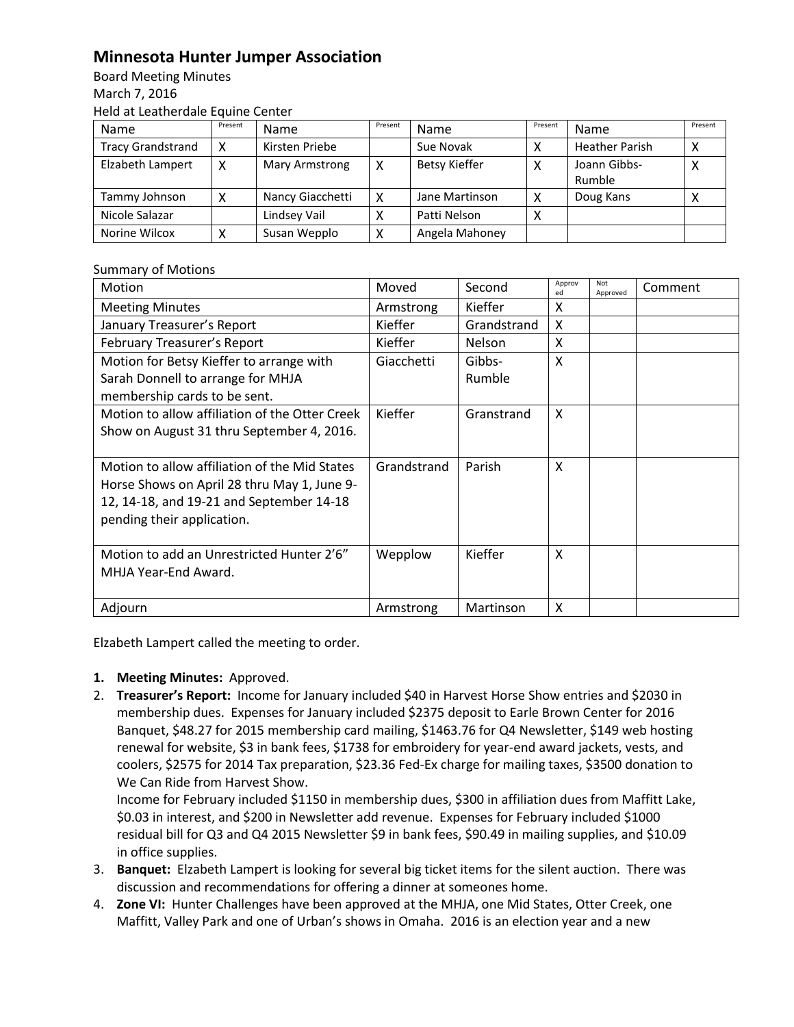## **Minnesota Hunter Jumper Association**

Board Meeting Minutes March 7, 2016 Held at Leatherdale Equine Center

| Name                     | Present | <b>Name</b>      | Present      | <b>Name</b>          | Present | Name                   | Present |
|--------------------------|---------|------------------|--------------|----------------------|---------|------------------------|---------|
| <b>Tracy Grandstrand</b> |         | Kirsten Priebe   |              | Sue Novak            |         | <b>Heather Parish</b>  |         |
| Elzabeth Lampert         |         | Mary Armstrong   | x            | <b>Betsy Kieffer</b> | ◠       | Joann Gibbs-<br>Rumble | ⌒       |
| Tammy Johnson            |         | Nancy Giacchetti | Χ            | Jane Martinson       |         | Doug Kans              |         |
| Nicole Salazar           |         | Lindsey Vail     |              | Patti Nelson         | ⋏       |                        |         |
| Norine Wilcox            |         | Susan Wepplo     | $\checkmark$ | Angela Mahoney       |         |                        |         |

## Summary of Motions

| Motion                                         | Moved       | Second        | Approv<br>ed | Not<br>Approved | Comment |
|------------------------------------------------|-------------|---------------|--------------|-----------------|---------|
| <b>Meeting Minutes</b>                         | Armstrong   | Kieffer       | X            |                 |         |
| January Treasurer's Report                     | Kieffer     | Grandstrand   | X            |                 |         |
| February Treasurer's Report                    | Kieffer     | <b>Nelson</b> | X            |                 |         |
| Motion for Betsy Kieffer to arrange with       | Giacchetti  | Gibbs-        | X            |                 |         |
| Sarah Donnell to arrange for MHJA              |             | Rumble        |              |                 |         |
| membership cards to be sent.                   |             |               |              |                 |         |
| Motion to allow affiliation of the Otter Creek | Kieffer     | Granstrand    | X            |                 |         |
| Show on August 31 thru September 4, 2016.      |             |               |              |                 |         |
|                                                |             |               |              |                 |         |
| Motion to allow affiliation of the Mid States  | Grandstrand | Parish        | X            |                 |         |
| Horse Shows on April 28 thru May 1, June 9-    |             |               |              |                 |         |
| 12, 14-18, and 19-21 and September 14-18       |             |               |              |                 |         |
| pending their application.                     |             |               |              |                 |         |
|                                                |             |               |              |                 |         |
| Motion to add an Unrestricted Hunter 2'6"      | Wepplow     | Kieffer       | X            |                 |         |
| MHJA Year-End Award.                           |             |               |              |                 |         |
|                                                |             |               |              |                 |         |
| Adjourn                                        | Armstrong   | Martinson     | X            |                 |         |

Elzabeth Lampert called the meeting to order.

## **1. Meeting Minutes:** Approved.

2. **Treasurer's Report:** Income for January included \$40 in Harvest Horse Show entries and \$2030 in membership dues. Expenses for January included \$2375 deposit to Earle Brown Center for 2016 Banquet, \$48.27 for 2015 membership card mailing, \$1463.76 for Q4 Newsletter, \$149 web hosting renewal for website, \$3 in bank fees, \$1738 for embroidery for year-end award jackets, vests, and coolers, \$2575 for 2014 Tax preparation, \$23.36 Fed-Ex charge for mailing taxes, \$3500 donation to We Can Ride from Harvest Show.

Income for February included \$1150 in membership dues, \$300 in affiliation dues from Maffitt Lake, \$0.03 in interest, and \$200 in Newsletter add revenue. Expenses for February included \$1000 residual bill for Q3 and Q4 2015 Newsletter \$9 in bank fees, \$90.49 in mailing supplies, and \$10.09 in office supplies.

- 3. **Banquet:** Elzabeth Lampert is looking for several big ticket items for the silent auction. There was discussion and recommendations for offering a dinner at someones home.
- 4. **Zone VI:** Hunter Challenges have been approved at the MHJA, one Mid States, Otter Creek, one Maffitt, Valley Park and one of Urban's shows in Omaha. 2016 is an election year and a new